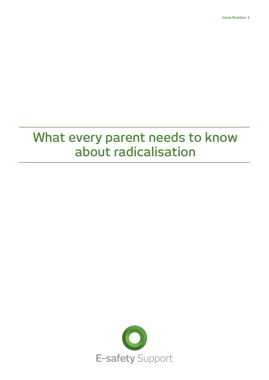## **What every parent needs to know about radicalisation**

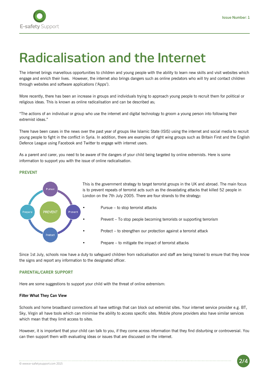

# **Radicalisation and the Internet**

The internet brings marvellous opportunities to children and young people with the ability to learn new skills and visit websites which engage and enrich their lives. However, the internet also brings dangers such as online predators who will try and contact children through websites and software applications ('Apps').

More recently, there has been an increase in groups and individuals trying to approach young people to recruit them for political or religious ideas. This is known as online radicalisation and can be described as;

"The actions of an individual or group who use the internet and digital technology to groom a young person into following their extremist ideas."

There have been cases in the news over the past year of groups like Islamic State (ISIS) using the internet and social media to recruit young people to fight in the conflict in Syria. In addition, there are examples of right wing groups such as Britain First and the English Defence League using Facebook and Twitter to engage with internet users.

As a parent and carer, you need to be aware of the dangers of your child being targeted by online extremists. Here is some information to support you with the issue of online radicalisation.

## **PREVENT**



This is the government strategy to target terrorist groups in the UK and abroad. The main focus is to prevent repeats of terrorist acts such as the devastating attacks that killed 52 people in London on the 7th July 2005. There are four strands to the strategy:

- Pursue to stop terrorist attacks
- Prevent To stop people becoming terrorists or supporting terrorism
- Protect to strengthen our protection against a terrorist attack
- Prepare to mitigate the impact of terrorist attacks

Since 1st July, schools now have a duty to safeguard children from radicalisation and staff are being trained to ensure that they know the signs and report any information to the designated officer.

#### **PARENTAL/CARER SUPPORT**

Here are some suggestions to support your child with the threat of online extremism:

## **Filter What They Can View**

Schools and home broadband connections all have settings that can block out extremist sites. Your internet service provider e.g. BT, Sky, Virgin all have tools which can minimise the ability to access specific sites. Mobile phone providers also have similar services which mean that they limit access to sites.

However, it is important that your child can talk to you, if they come across information that they find disturbing or controversial. You can then support them with evaluating ideas or issues that are discussed on the internet.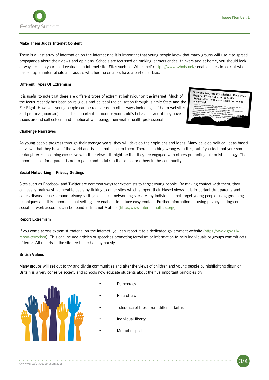

## **Make Them Judge Internet Content**

There is a vast array of information on the internet and it is important that young people know that many groups will use it to spread propaganda about their views and opinions. Schools are focussed on making learners critical thinkers and at home, you should look at ways to help your child evaluate an internet site. Sites such as 'Whois.net' (https://www.whois.net/) enable users to look at who has set up an internet site and assess whether the creators have a particular bias.

## **Different Types Of Extremism**

It is useful to note that there are different types of extremist behaviour on the internet. Much of the focus recently has been on religious and political radicalisation through Islamic State and the Far Right. However, young people can be radicalised in other ways including self-harm websites and pro-ana (anorexic) sites. It is important to monitor your child's behaviour and if they have issues around self esteem and emotional well being, then visit a health professional

'Anorexia blogs nearly killed me': Even when<br>Grainne, 17, was starving to death **Constructs of the Searly killed me': E**<br>Grainne, 17, was starving to death,<br>'thinspiration' sites onesus Stalline, 17, was starving to death,<br>"thinspiration' sites encouraged her to lose<br>more weight

**Challenge Narratives**

As young people progress through their teenage years, they will develop their opinions and ideas. Many develop political ideas based on views that they have of the world and issues that concern them. There is nothing wrong with this, but if you feel that your son or daughter is becoming excessive with their views, it might be that they are engaged with others promoting extremist ideology. The important role for a parent is not to panic and to talk to the school or others in the community.

#### **Social Networking – Privacy Settings**

Sites such as Facebook and Twitter are common ways for extremists to target young people. By making contact with them, they can easily brainwash vulnerable users by linking to other sites which support their biased views. It is important that parents and carers discuss issues around privacy settings on social networking sites. Many individuals that target young people using grooming techniques and it is important that settings are enabled to reduce easy contact. Further information on using privacy settings on social network accounts can be found at Internet Matters (http://www.internetmatters.org/)

#### **Report Extremism**

If you come across extremist material on the internet, you can report it to a dedicated government website (https://www.gov.uk/ report-terrorism). This can include articles or speeches promoting terrorism or information to help individuals or groups commit acts of terror. All reports to the site are treated anonymously.

## **British Values**

Many groups will set out to try and divide communities and alter the views of children and young people by highlighting disunion. Britain is a very cohesive society and schools now educate students about the five important principles of:



- **Democracy**
- Rule of law
- Tolerance of those from different faiths
- Individual liberty
- Mutual respect